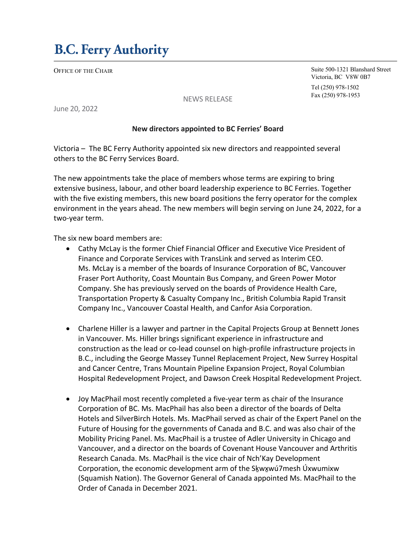OFFICE OF THE CHAIR

Suite 500-1321 Blanshard Street Victoria, BC V8W 0B7

Tel (250) 978-1502 Fax (250) 978-1953

NEWS RELEASE

June 20, 2022

## **New directors appointed to BC Ferries' Board**

Victoria – The BC Ferry Authority appointed six new directors and reappointed several others to the BC Ferry Services Board.

The new appointments take the place of members whose terms are expiring to bring extensive business, labour, and other board leadership experience to BC Ferries. Together with the five existing members, this new board positions the ferry operator for the complex environment in the years ahead. The new members will begin serving on June 24, 2022, for a two-year term.

The six new board members are:

- Cathy McLay is the former Chief Financial Officer and Executive Vice President of Finance and Corporate Services with TransLink and served as Interim CEO. Ms. McLay is a member of the boards of Insurance Corporation of BC, Vancouver Fraser Port Authority, Coast Mountain Bus Company, and Green Power Motor Company. She has previously served on the boards of Providence Health Care, Transportation Property & Casualty Company Inc., British Columbia Rapid Transit Company Inc., Vancouver Coastal Health, and Canfor Asia Corporation.
- Charlene Hiller is a lawyer and partner in the Capital Projects Group at Bennett Jones in Vancouver. Ms. Hiller brings significant experience in infrastructure and construction as the lead or co-lead counsel on high-profile infrastructure projects in B.C., including the George Massey Tunnel Replacement Project, New Surrey Hospital and Cancer Centre, Trans Mountain Pipeline Expansion Project, Royal Columbian Hospital Redevelopment Project, and Dawson Creek Hospital Redevelopment Project.
- Joy MacPhail most recently completed a five-year term as chair of the Insurance Corporation of BC. Ms. MacPhail has also been a director of the boards of Delta Hotels and SilverBirch Hotels. Ms. MacPhail served as chair of the Expert Panel on the Future of Housing for the governments of Canada and B.C. and was also chair of the Mobility Pricing Panel. Ms. MacPhail is a trustee of Adler University in Chicago and Vancouver, and a director on the boards of Covenant House Vancouver and Arthritis Research Canada. Ms. MacPhail is the vice chair of Nch'Kay Development Corporation, the economic development arm of the Sḵwxwú7mesh Úxwumixw ̱ (Squamish Nation). The Governor General of Canada appointed Ms. MacPhail to the Order of Canada in December 2021.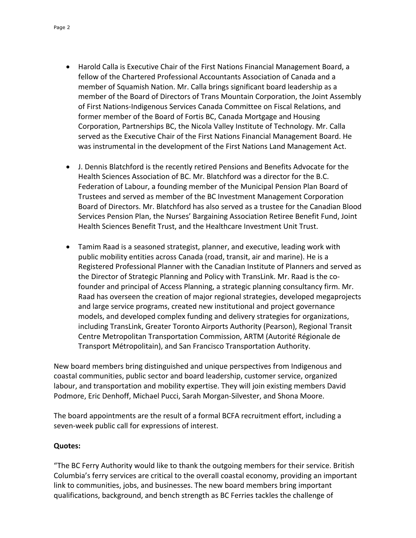- Harold Calla is Executive Chair of the First Nations Financial Management Board, a fellow of the Chartered Professional Accountants Association of Canada and a member of Squamish Nation. Mr. Calla brings significant board leadership as a member of the Board of Directors of Trans Mountain Corporation, the Joint Assembly of First Nations-Indigenous Services Canada Committee on Fiscal Relations, and former member of the Board of Fortis BC, Canada Mortgage and Housing Corporation, Partnerships BC, the Nicola Valley Institute of Technology. Mr. Calla served as the Executive Chair of the First Nations Financial Management Board. He was instrumental in the development of the First Nations Land Management Act.
- J. Dennis Blatchford is the recently retired Pensions and Benefits Advocate for the Health Sciences Association of BC. Mr. Blatchford was a director for the B.C. Federation of Labour, a founding member of the Municipal Pension Plan Board of Trustees and served as member of the BC Investment Management Corporation Board of Directors. Mr. Blatchford has also served as a trustee for the Canadian Blood Services Pension Plan, the Nurses' Bargaining Association Retiree Benefit Fund, Joint Health Sciences Benefit Trust, and the Healthcare Investment Unit Trust.
- Tamim Raad is a seasoned strategist, planner, and executive, leading work with public mobility entities across Canada (road, transit, air and marine). He is a Registered Professional Planner with the Canadian Institute of Planners and served as the Director of Strategic Planning and Policy with TransLink. Mr. Raad is the cofounder and principal of Access Planning, a strategic planning consultancy firm. Mr. Raad has overseen the creation of major regional strategies, developed megaprojects and large service programs, created new institutional and project governance models, and developed complex funding and delivery strategies for organizations, including TransLink, Greater Toronto Airports Authority (Pearson), Regional Transit Centre Metropolitan Transportation Commission, ARTM (Autorité Régionale de Transport Métropolitain), and San Francisco Transportation Authority.

New board members bring distinguished and unique perspectives from Indigenous and coastal communities, public sector and board leadership, customer service, organized labour, and transportation and mobility expertise. They will join existing members David Podmore, Eric Denhoff, Michael Pucci, Sarah Morgan-Silvester, and Shona Moore.

The board appointments are the result of a formal BCFA recruitment effort, including a seven-week public call for expressions of interest.

## **Quotes:**

"The BC Ferry Authority would like to thank the outgoing members for their service. British Columbia's ferry services are critical to the overall coastal economy, providing an important link to communities, jobs, and businesses. The new board members bring important qualifications, background, and bench strength as BC Ferries tackles the challenge of